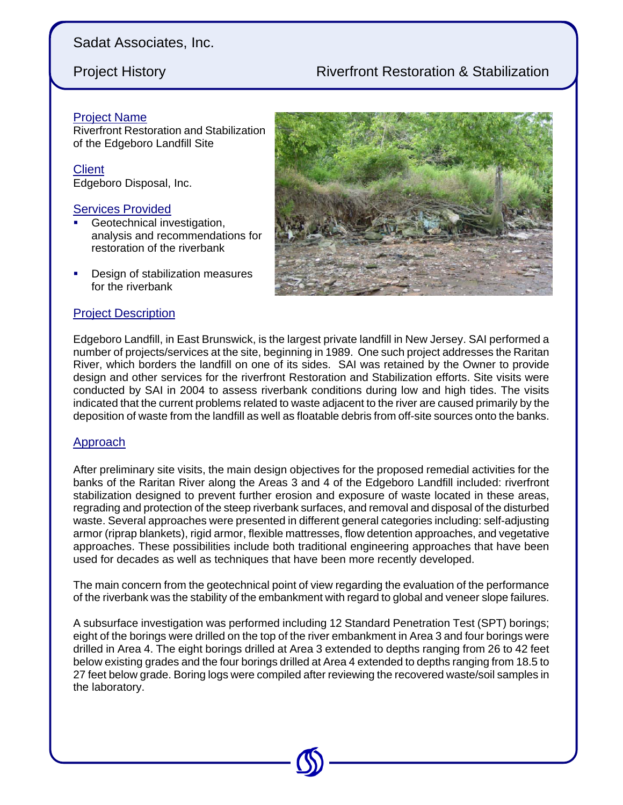# **Project History Construction Construction Construction Construction Construction A Stabilization**

### Project Name

Riverfront Restoration and Stabilization of the Edgeboro Landfill Site

**Client** Edgeboro Disposal, Inc.

### **Services Provided**

- Geotechnical investigation, analysis and recommendations for restoration of the riverbank
- Design of stabilization measures for the riverbank

### Project Description



Edgeboro Landfill, in East Brunswick, is the largest private landfill in New Jersey. SAI performed a number of projects/services at the site, beginning in 1989. One such project addresses the Raritan River, which borders the landfill on one of its sides. SAI was retained by the Owner to provide design and other services for the riverfront Restoration and Stabilization efforts. Site visits were conducted by SAI in 2004 to assess riverbank conditions during low and high tides. The visits indicated that the current problems related to waste adjacent to the river are caused primarily by the deposition of waste from the landfill as well as floatable debris from off-site sources onto the banks.

### Approach

After preliminary site visits, the main design objectives for the proposed remedial activities for the banks of the Raritan River along the Areas 3 and 4 of the Edgeboro Landfill included: riverfront stabilization designed to prevent further erosion and exposure of waste located in these areas, regrading and protection of the steep riverbank surfaces, and removal and disposal of the disturbed waste. Several approaches were presented in different general categories including: self-adjusting armor (riprap blankets), rigid armor, flexible mattresses, flow detention approaches, and vegetative approaches. These possibilities include both traditional engineering approaches that have been used for decades as well as techniques that have been more recently developed.

The main concern from the geotechnical point of view regarding the evaluation of the performance of the riverbank was the stability of the embankment with regard to global and veneer slope failures.

A subsurface investigation was performed including 12 Standard Penetration Test (SPT) borings; eight of the borings were drilled on the top of the river embankment in Area 3 and four borings were drilled in Area 4. The eight borings drilled at Area 3 extended to depths ranging from 26 to 42 feet below existing grades and the four borings drilled at Area 4 extended to depths ranging from 18.5 to 27 feet below grade. Boring logs were compiled after reviewing the recovered waste/soil samples in the laboratory.